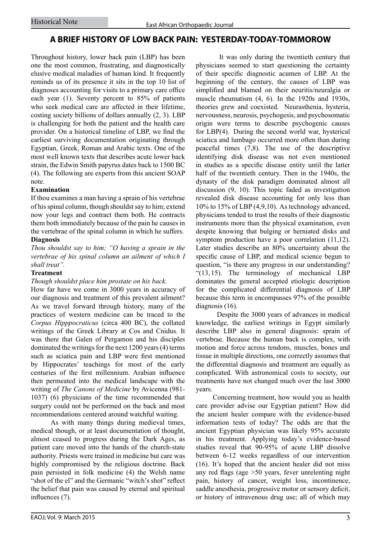# **A BRIEF HISTORY OF LOW BACK PAIN: YESTERDAY-TODAY-TOMMOROW**

Throughout history, lower back pain (LBP) has been one the most common, frustrating, and diagnostically elusive medical maladies of human kind. It frequently reminds us of its presence it sits in the top 10 list of diagnoses accounting for visits to a primary care office each year (1). Seventy percent to 85% of patients who seek medical care are affected in their lifetime, costing society billions of dollars annually (2, 3). LBP is challenging for both the patient and the health care provider. On a historical timeline of LBP, we find the earliest surviving documentation originating through Egyptian, Greek, Roman and Arabic texts. One of the most well known texts that describes acute lower back strain, the Edwin Smith papyrus dates back to 1500 BC (4). The following are experts from this ancient SOAP note.

# **Examination**

If thou examines a man having a sprain of his vertebrae of his spinal column, though shouldst say to him; extend now your legs and contract them both. He contracts them both immediately because of the pain he causes in the vertebrae of the spinal column in which he suffers. **Diagnosis**

*Thou shouldst say to him; "O having a sprain in the vertebrae of his spinal column an ailment of which I shall treat".*

### **Treatment**

### *Though shouldst place him prostate on his back.*

How far have we come in 3000 years in accuracy of our diagnosis and treatment of this prevalent ailment? As we travel forward through history, many of the practices of western medicine can be traced to the *Corpus Hipppocraticus* (circa 400 BC), the collated writings of the Greek Library at Cos and Cnidus. It was there that Galen of Pergamon and his disciples dominated the writings for the next 1200 years (4) terms such as sciatica pain and LBP were first mentioned by Hippocrates' teachings for most of the early centuries of the first millennium. Arabian influence then permeated into the medical landscape with the writing of *The Canons of Medicine* by Avicenna (981- 1037) (6) physicians of the time recommended that surgery could not be performed on the back and most recommendations centered around watchful waiting.

 As with many things during medieval times, medical though, or at least documentation of thought, almost ceased to progress during the Dark Ages, as patient care moved into the hands of the church-state authority. Priests were trained in medicine but care was highly compromised by the religious doctrine. Back pain persisted in folk medicine (4) the Welsh name "shot of the el" and the Germanic "witch's shot" reflect the belief that pain was caused by eternal and spiritual influences (7).

 It was only during the twentieth century that physicians seemed to start questioning the certainty of their specific diagnostic acumen of LBP. At the beginning of the century, the causes of LBP was simplified and blamed on their neuritis/neuralgia or muscle rheumatism (4, 6). In the 1920s and 1930s, theories grew and coexisted. Neurasthenia, hysteria, nervousness, neurosis, psychogesis, and psychosomatic origin were terms to describe psychogenic causes for LBP(4). During the second world war, hysterical sciatica and lumbago occurred more often than during peaceful times (7,8). The use of the descriptive identifying disk disease was not even mentioned in studies as a specific disease entity until the latter half of the twentieth century. Then in the 1940s, the dynasty of the disk paradigm dominated almost all discussion (9, 10). This topic faded as investigation revealed disk disease accounting for only less than 10% to 15% of LBP (4,9,10).As technology advanced, physicians tended to trust the results of their diagnostic instruments more than the physical examination, even despite knowing that bulging or herniated disks and symptom production have a poor correlation (11,12). Later studies describe an 80% uncertainty about the specific cause of LBP, and medical science begun to question, "is there any progress in our understanding? "(13,15). The terminology of mechanical LBP dominates the general accepted etiologic description for the complicated differential diagnosis of LBP because this term in encompasses 97% of the possible diagnosis (16).

 Despite the 3000 years of advances in medical knowledge, the earliest writings in Egypt similarly describe LBP also in general diagnosis: sprain of vertebrae. Because the human back is complex, with motion and force across tendons, muscles, bones and tissue in multiple directions, one correctly assumes that the differential diagnosis and treatment are equally as complicated. With astronomical costs to society, our treatments have not changed much over the last 3000 years.

 Concerning treatment, how would you as health care provider advise our Egyptian patient? How did the ancient healer compare with the evidence-based information tests of today? The odds are that the ancient Egyptian physician was likely 95% accurate in his treatment. Applying today's evidence-based studies reveal that 90-95% of acute LBP dissolve between 6-12 weeks regardless of our intervention (16). It's hoped that the ancient healer did not miss any red flags (age >50 years, fever unrelenting night pain, history of cancer, weight loss, incontinence, saddle anesthesia, progressive motor or sensory deficit, or history of intravenous drug use; all of which may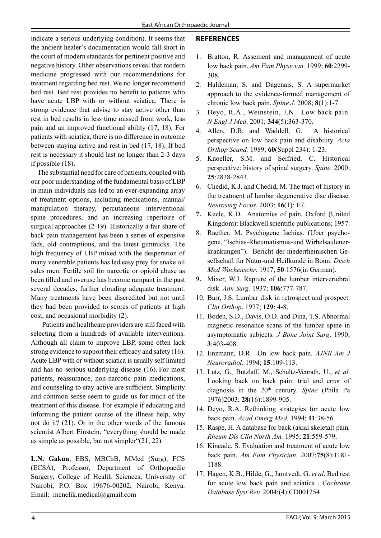indicate a serious underlying condition). It seems that the ancient healer's documentation would fall short in the court of modern standards for pertinent positive and negative history. Other observations reveal that modern medicine progressed with our recommendations for treatment regarding bed rest. We no longer recommend bed rest. Bed rest provides no benefit to patients who have acute LBP with or without sciatica. There is strong evidence that advise to stay active other than rest in bed results in less time missed from work, less pain and an improved functional ability (17, 18). For patients with sciatica, there is no difference in outcome between staying active and rest in bed (17, 18).If bed rest is necessary it should last no longer than 2-3 days if possible (18).

 The substantial need for care of patients, coupled with our poor understanding of the fundamental basis of LBP in main individuals has led to an ever-expanding array of treatment options, including medications, manual/ manipulation therapy, percutaneous interventional spine procedures, and an increasing repertoire of surgical approaches (2-19). Historically a fair share of back pain management has been a series of expensive fads, old contraptions, and the latest gimmicks. The high frequency of LBP mixed with the desperation of many venerable patients has led easy prey for snake oil sales men. Fertile soil for narcotic or opioid abuse as been tilled and overuse has become rampant in the past several decades, further clouding adequate treatment. Many treatments have been discredited but not until they had been provided to scores of patients at high cost, and occasional morbidity (2).

 Patients and healthcare providers are still faced with selecting from a hundreds of available interventions. Although all claim to improve LBP, some often lack strong evidence to support their efficacy and safety (16). Acute LBP with or without sciatica is usually self limited and has no serious underlying disease (16). For most patients, reassurance, non-narcotic pain medications, and counseling to stay active are sufficient. Simplicity and common sense seem to guide us for much of the treatment of this disease. For example if educating and informing the patient course of the illness help, why not do it? (21). Or in the other words of the famous scientist Albert Einstein, "everything should be made as simple as possible, but not simpler"(21, 22).

**L.N. Gakuu**, EBS, MBChB, MMed (Surg), FCS (ECSA), Professor, Department of Orthopaedic Surgery, College of Health Sciences, University of Nairobi, P.O. Box 19676-00202, Nairobi, Kenya. Email: menelik.medical@gmail.com

# **REFERENCES**

- 1. Bratton, R. Assement and management of acute low back pain. *Am Fam Physician.* 1999; **60**:2299- 308.
- 2. Haldeman, S. and Dagenais, S. A supermarket approach to the evidence-formed management of chronic low back pain. *Spine J.* 2008; **8**(1):1-7.
- 3. Deyo, R.A., Weinstein, J.N. Low back pain. *N Engl J Med*. 2001; **344**(5):363-370.
- 4. Allen, D.B. and Waddell, G. A historical perspective on low back pain and disability. *Acta Orthop Scand.* 1989; **60**(Suppl 234): 1-23.
- 5. Knoeller, S.M. and Seifried, C. Historical perspective: history of spinal surgery. *Spine.* 2000; **25**:2838-2843.
- 6. Chedid, K.J. and Chedid, M. The tract of history in the treatment of lumbar degenerative disc disease. *Neurosurg Focus.* 2003; **16**(1): E7.
- **7.** Keele, K.D. Anatomies of pain. Oxford (United Kingdom): Blackwell scientific publications; 1957.
- 8. Raether, M. Psychogene Ischias. (Uber psychogene. "Ischias-Rheumatismus-und Wirbelsaulenerkrankungen"). Bericht der niederrheinischen Gesellschaft fur Natur-und Heilkunde in Bonn. *Dtsch Med Wochenschr*. 1917; **50**:1576(in German).
- 9**.** Mixer, W.J. Rapture of the lumber intervertebral disk. *Ann Surg.* 1937; **106**:777-787.
- 10. Barr, J.S. Lumbar disk in retrospect and prospect. *Clin Orthop*. 1977; **129**: 4-8.
- 11. Boden, S.D., Davis, O.D. and Dina, T.S. Abnormal magnetic resonance scans of the lumbar spine in asymptomatic subjects. *J Bone Joint Surg*. 1990; **3**:403-408.
- 12. Enzmann, D.R. On low back pain. *AJNR Am J Neuroradiol.* 1994; **15**:109-113.
- 13. Lutz, G., Butzlaff, M., Schultz-Venrath, U., *et al*. Looking back on back pain: trial and error of diagnosis in the 20th century. *Spine* (Phila Pa 1976)2003; **28**(16):1899-905.
- 14. Deyo, R.A. Rethinking strategies for acute low back pain. *Acad Emerg Med.* 1994; **11**:38-56.
- 15. Raspe, H. A database for back (axial skeletal) pain*. Rheum Dis Clin North Am.* 1995; **21**:559-579.
- 16. Kincade, S. Evaluation and treatment of acute low back pain. *Am Fam Physician*. 2007;**75**(8):1181- 1188.
- 17. Hagen, K.B., Hilde, G., Jamtvedt, G. *et al*. Bed rest for acute low back pain and sciatica . *Cochrane Database Syst Rev.* 2004;(4):CD001254